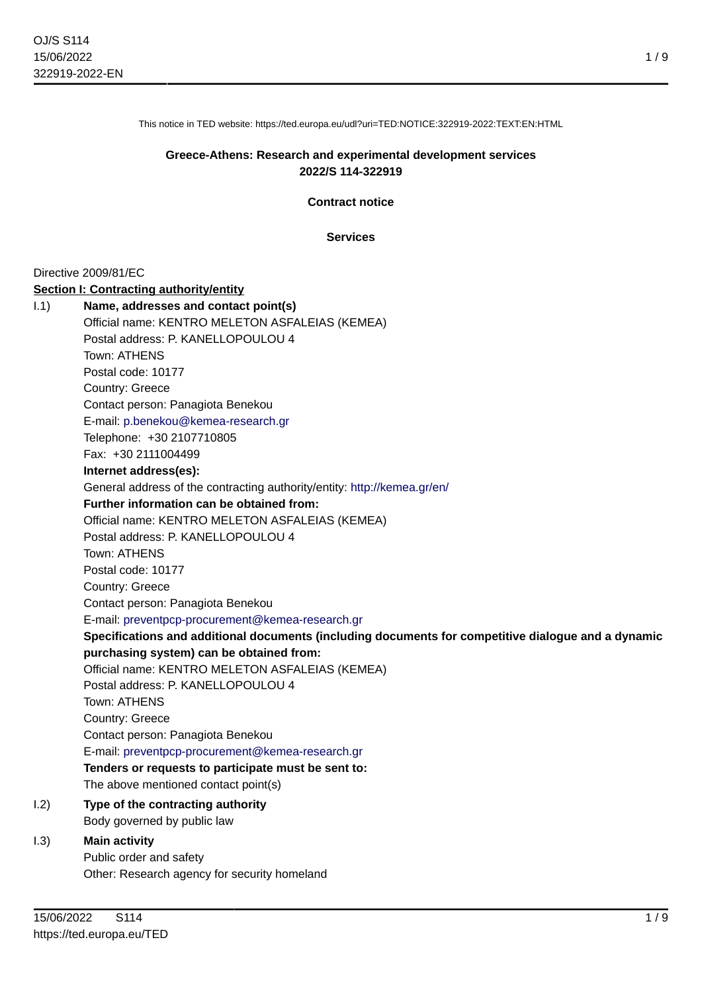This notice in TED website: https://ted.europa.eu/udl?uri=TED:NOTICE:322919-2022:TEXT:EN:HTML

# **Greece-Athens: Research and experimental development services 2022/S 114-322919**

**Contract notice**

**Services**

Directive 2009/81/EC

### **Section I: Contracting authority/entity**

| 1.1) | Name, addresses and contact point(s)                                                                |
|------|-----------------------------------------------------------------------------------------------------|
|      | Official name: KENTRO MELETON ASFALEIAS (KEMEA)                                                     |
|      | Postal address: P. KANELLOPOULOU 4                                                                  |
|      | Town: ATHENS                                                                                        |
|      | Postal code: 10177                                                                                  |
|      | Country: Greece                                                                                     |
|      | Contact person: Panagiota Benekou                                                                   |
|      | E-mail: p.benekou@kemea-research.gr                                                                 |
|      | Telephone: +30 2107710805                                                                           |
|      | Fax: +30 2111004499                                                                                 |
|      | Internet address(es):                                                                               |
|      | General address of the contracting authority/entity: http://kemea.gr/en/                            |
|      | Further information can be obtained from:                                                           |
|      | Official name: KENTRO MELETON ASFALEIAS (KEMEA)                                                     |
|      | Postal address: P. KANELLOPOULOU 4                                                                  |
|      | Town: ATHENS                                                                                        |
|      | Postal code: 10177                                                                                  |
|      | Country: Greece                                                                                     |
|      | Contact person: Panagiota Benekou                                                                   |
|      | E-mail: preventpcp-procurement@kemea-research.gr                                                    |
|      | Specifications and additional documents (including documents for competitive dialogue and a dynamic |
|      | purchasing system) can be obtained from:                                                            |
|      | Official name: KENTRO MELETON ASFALEIAS (KEMEA)                                                     |
|      | Postal address: P. KANELLOPOULOU 4                                                                  |
|      | Town: ATHENS                                                                                        |
|      | Country: Greece                                                                                     |
|      | Contact person: Panagiota Benekou                                                                   |
|      | E-mail: preventpcp-procurement@kemea-research.gr                                                    |
|      | Tenders or requests to participate must be sent to:                                                 |
|      | The above mentioned contact point(s)                                                                |
| 1.2) | Type of the contracting authority                                                                   |
|      | Body governed by public law                                                                         |
| 1.3) | <b>Main activity</b>                                                                                |
|      | Public order and safety                                                                             |
|      | Other: Research agency for security homeland                                                        |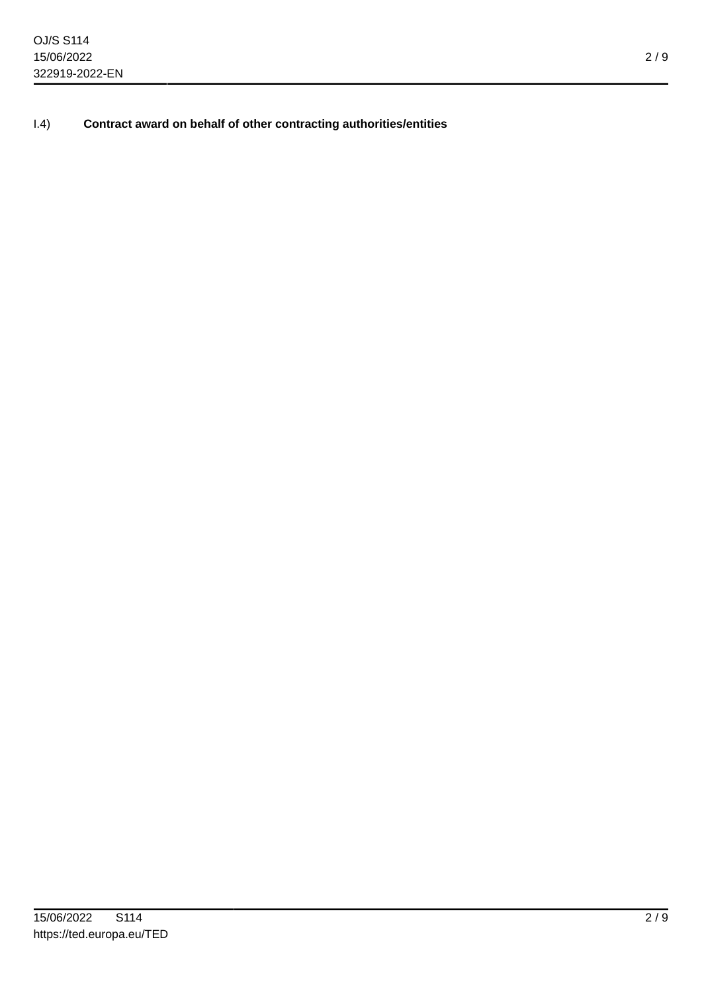I.4) **Contract award on behalf of other contracting authorities/entities**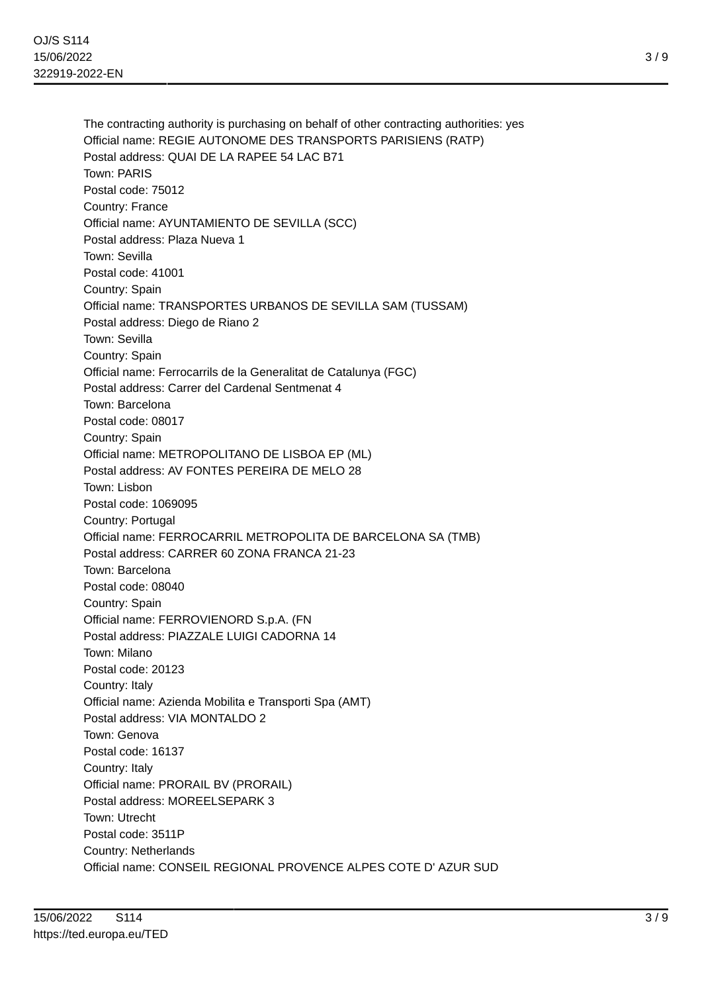The contracting authority is purchasing on behalf of other contracting authorities: yes Official name: REGIE AUTONOME DES TRANSPORTS PARISIENS (RATP) Postal address: QUAI DE LA RAPEE 54 LAC B71 Town: PARIS Postal code: 75012 Country: France Official name: AYUNTAMIENTO DE SEVILLA (SCC) Postal address: Plaza Nueva 1 Town: Sevilla Postal code: 41001 Country: Spain Official name: TRANSPORTES URBANOS DE SEVILLA SAM (TUSSAM) Postal address: Diego de Riano 2 Town: Sevilla Country: Spain Official name: Ferrocarrils de la Generalitat de Catalunya (FGC) Postal address: Carrer del Cardenal Sentmenat 4 Town: Barcelona Postal code: 08017 Country: Spain Official name: METROPOLITANO DE LISBOA EP (ML) Postal address: AV FONTES PEREIRA DE MELO 28 Town: Lisbon Postal code: 1069095 Country: Portugal Official name: FERROCARRIL METROPOLITA DE BARCELONA SA (TMB) Postal address: CARRER 60 ZONA FRANCA 21-23 Town: Barcelona Postal code: 08040 Country: Spain Official name: FERROVIENORD S.p.A. (FN Postal address: PIAZZALE LUIGI CADORNA 14 Town: Milano Postal code: 20123 Country: Italy Official name: Azienda Mobilita e Transporti Spa (AMT) Postal address: VIA MONTALDO 2 Town: Genova Postal code: 16137 Country: Italy Official name: PRORAIL BV (PRORAIL) Postal address: MOREELSEPARK 3 Town: Utrecht Postal code: 3511P Country: Netherlands Official name: CONSEIL REGIONAL PROVENCE ALPES COTE D' AZUR SUD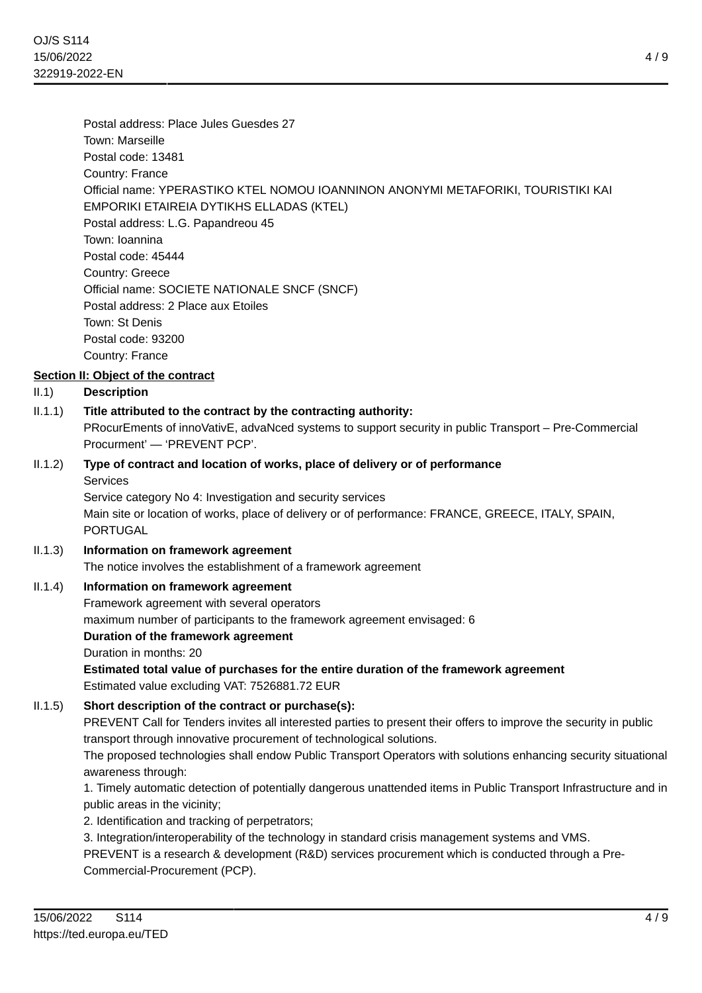Postal address: Place Jules Guesdes 27 Town: Marseille Postal code: 13481 Country: France Official name: YPERASTIKO KTEL NOMOU IOANNINON ANONYMI METAFORIKI, TOURISTIKI KAI EMPORIKI ETAIREIA DYTIKHS ELLADAS (KTEL) Postal address: L.G. Papandreou 45 Town: Ioannina Postal code: 45444 Country: Greece Official name: SOCIETE NATIONALE SNCF (SNCF) Postal address: 2 Place aux Etoiles Town: St Denis Postal code: 93200 Country: France

# **Section II: Object of the contract**

# II.1) **Description**

II.1.1) **Title attributed to the contract by the contracting authority:**

PRocurEments of innoVativE, advaNced systems to support security in public Transport – Pre-Commercial Procurment' — 'PREVENT PCP'.

II.1.2) **Type of contract and location of works, place of delivery or of performance Services** 

> Service category No 4: Investigation and security services Main site or location of works, place of delivery or of performance: FRANCE, GREECE, ITALY, SPAIN, PORTUGAL

II.1.3) **Information on framework agreement**

The notice involves the establishment of a framework agreement

### II.1.4) **Information on framework agreement**

Framework agreement with several operators

maximum number of participants to the framework agreement envisaged: 6

**Duration of the framework agreement**

Duration in months: 20

**Estimated total value of purchases for the entire duration of the framework agreement** Estimated value excluding VAT: 7526881.72 EUR

### II.1.5) **Short description of the contract or purchase(s):**

PREVENT Call for Tenders invites all interested parties to present their offers to improve the security in public transport through innovative procurement of technological solutions.

The proposed technologies shall endow Public Transport Operators with solutions enhancing security situational awareness through:

1. Timely automatic detection of potentially dangerous unattended items in Public Transport Infrastructure and in public areas in the vicinity;

2. Identification and tracking of perpetrators;

3. Integration/interoperability of the technology in standard crisis management systems and VMS.

PREVENT is a research & development (R&D) services procurement which is conducted through a Pre-Commercial-Procurement (PCP).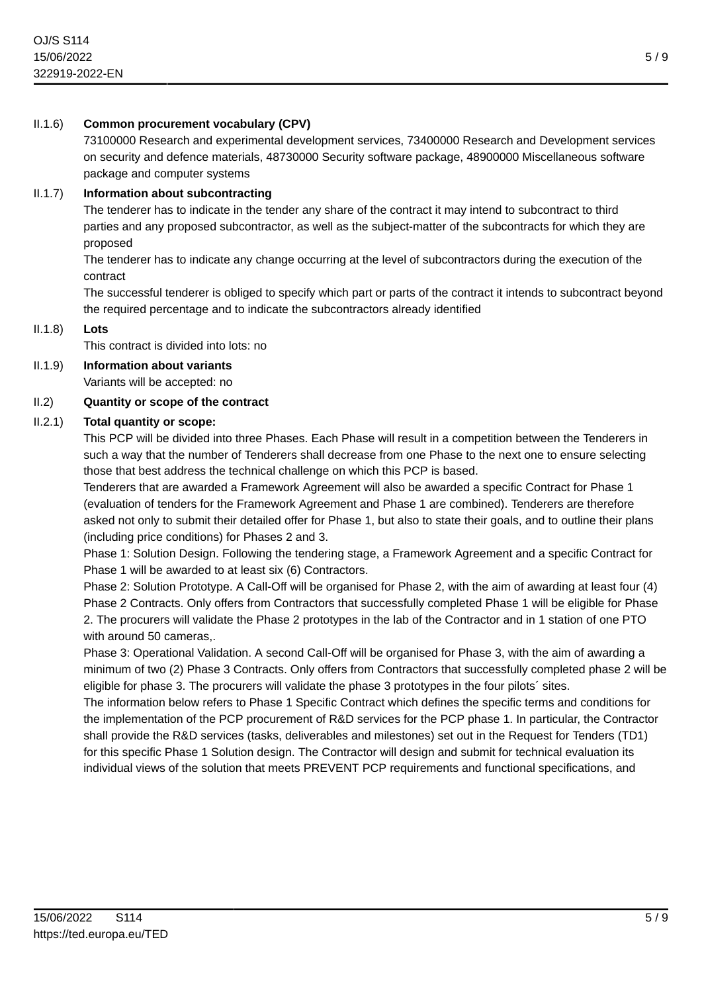# II.1.6) **Common procurement vocabulary (CPV)**

73100000 Research and experimental development services, 73400000 Research and Development services on security and defence materials, 48730000 Security software package, 48900000 Miscellaneous software package and computer systems

### II.1.7) **Information about subcontracting**

The tenderer has to indicate in the tender any share of the contract it may intend to subcontract to third parties and any proposed subcontractor, as well as the subject-matter of the subcontracts for which they are proposed

The tenderer has to indicate any change occurring at the level of subcontractors during the execution of the contract

The successful tenderer is obliged to specify which part or parts of the contract it intends to subcontract beyond the required percentage and to indicate the subcontractors already identified

II.1.8) **Lots**

This contract is divided into lots: no

# II.1.9) **Information about variants**

Variants will be accepted: no

### II.2) **Quantity or scope of the contract**

### II.2.1) **Total quantity or scope:**

This PCP will be divided into three Phases. Each Phase will result in a competition between the Tenderers in such a way that the number of Tenderers shall decrease from one Phase to the next one to ensure selecting those that best address the technical challenge on which this PCP is based.

Tenderers that are awarded a Framework Agreement will also be awarded a specific Contract for Phase 1 (evaluation of tenders for the Framework Agreement and Phase 1 are combined). Tenderers are therefore asked not only to submit their detailed offer for Phase 1, but also to state their goals, and to outline their plans (including price conditions) for Phases 2 and 3.

Phase 1: Solution Design. Following the tendering stage, a Framework Agreement and a specific Contract for Phase 1 will be awarded to at least six (6) Contractors.

Phase 2: Solution Prototype. A Call-Off will be organised for Phase 2, with the aim of awarding at least four (4) Phase 2 Contracts. Only offers from Contractors that successfully completed Phase 1 will be eligible for Phase 2. The procurers will validate the Phase 2 prototypes in the lab of the Contractor and in 1 station of one PTO with around 50 cameras,.

Phase 3: Operational Validation. A second Call-Off will be organised for Phase 3, with the aim of awarding a minimum of two (2) Phase 3 Contracts. Only offers from Contractors that successfully completed phase 2 will be eligible for phase 3. The procurers will validate the phase 3 prototypes in the four pilots´ sites.

The information below refers to Phase 1 Specific Contract which defines the specific terms and conditions for the implementation of the PCP procurement of R&D services for the PCP phase 1. In particular, the Contractor shall provide the R&D services (tasks, deliverables and milestones) set out in the Request for Tenders (TD1) for this specific Phase 1 Solution design. The Contractor will design and submit for technical evaluation its individual views of the solution that meets PREVENT PCP requirements and functional specifications, and

5 / 9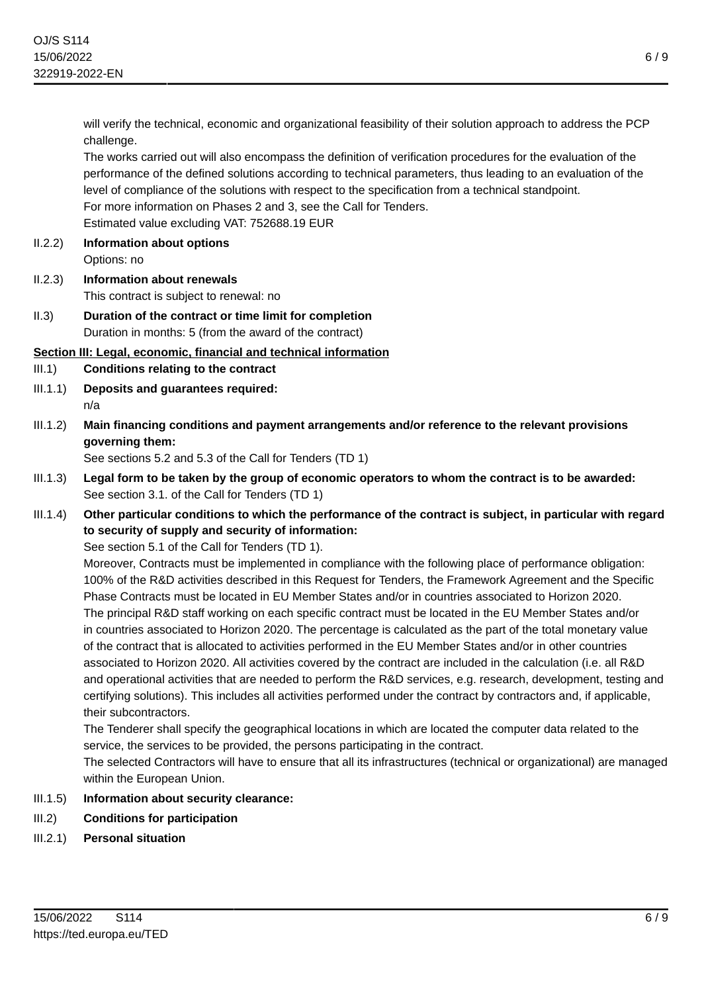will verify the technical, economic and organizational feasibility of their solution approach to address the PCP challenge.

The works carried out will also encompass the definition of verification procedures for the evaluation of the performance of the defined solutions according to technical parameters, thus leading to an evaluation of the level of compliance of the solutions with respect to the specification from a technical standpoint. For more information on Phases 2 and 3, see the Call for Tenders. Estimated value excluding VAT: 752688.19 EUR

- II.2.2) **Information about options** Options: no
- II.2.3) **Information about renewals** This contract is subject to renewal: no
- II.3) **Duration of the contract or time limit for completion** Duration in months: 5 (from the award of the contract)

# **Section III: Legal, economic, financial and technical information**

III.1) **Conditions relating to the contract**

- III.1.1) **Deposits and guarantees required:** n/a
- III.1.2) **Main financing conditions and payment arrangements and/or reference to the relevant provisions governing them:**

See sections 5.2 and 5.3 of the Call for Tenders (TD 1)

- III.1.3) **Legal form to be taken by the group of economic operators to whom the contract is to be awarded:** See section 3.1. of the Call for Tenders (TD 1)
- III.1.4) **Other particular conditions to which the performance of the contract is subject, in particular with regard to security of supply and security of information:**

See section 5.1 of the Call for Tenders (TD 1).

Moreover, Contracts must be implemented in compliance with the following place of performance obligation: 100% of the R&D activities described in this Request for Tenders, the Framework Agreement and the Specific Phase Contracts must be located in EU Member States and/or in countries associated to Horizon 2020. The principal R&D staff working on each specific contract must be located in the EU Member States and/or in countries associated to Horizon 2020. The percentage is calculated as the part of the total monetary value of the contract that is allocated to activities performed in the EU Member States and/or in other countries associated to Horizon 2020. All activities covered by the contract are included in the calculation (i.e. all R&D and operational activities that are needed to perform the R&D services, e.g. research, development, testing and certifying solutions). This includes all activities performed under the contract by contractors and, if applicable, their subcontractors.

The Tenderer shall specify the geographical locations in which are located the computer data related to the service, the services to be provided, the persons participating in the contract.

The selected Contractors will have to ensure that all its infrastructures (technical or organizational) are managed within the European Union.

- III.1.5) **Information about security clearance:**
- III.2) **Conditions for participation**
- III.2.1) **Personal situation**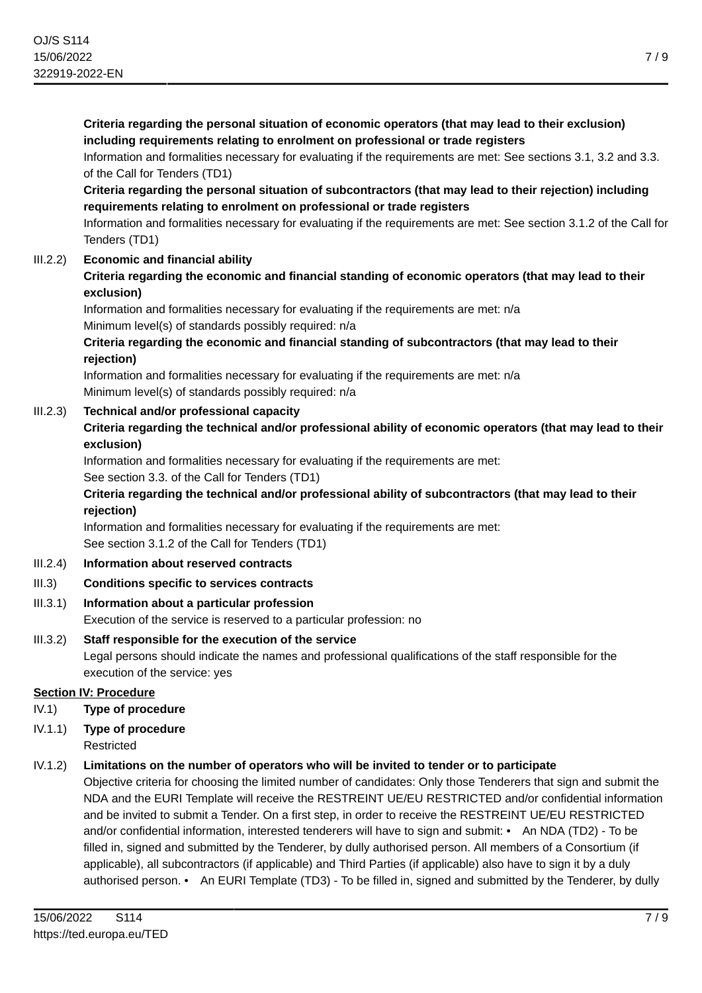**Criteria regarding the personal situation of economic operators (that may lead to their exclusion) including requirements relating to enrolment on professional or trade registers**

Information and formalities necessary for evaluating if the requirements are met: See sections 3.1, 3.2 and 3.3. of the Call for Tenders (TD1)

**Criteria regarding the personal situation of subcontractors (that may lead to their rejection) including requirements relating to enrolment on professional or trade registers**

Information and formalities necessary for evaluating if the requirements are met: See section 3.1.2 of the Call for Tenders (TD1)

# III.2.2) **Economic and financial ability**

**Criteria regarding the economic and financial standing of economic operators (that may lead to their exclusion)**

Information and formalities necessary for evaluating if the requirements are met: n/a Minimum level(s) of standards possibly required: n/a

**Criteria regarding the economic and financial standing of subcontractors (that may lead to their rejection)**

Information and formalities necessary for evaluating if the requirements are met: n/a Minimum level(s) of standards possibly required: n/a

### III.2.3) **Technical and/or professional capacity**

**Criteria regarding the technical and/or professional ability of economic operators (that may lead to their exclusion)**

Information and formalities necessary for evaluating if the requirements are met:

See section 3.3. of the Call for Tenders (TD1)

### **Criteria regarding the technical and/or professional ability of subcontractors (that may lead to their rejection)**

Information and formalities necessary for evaluating if the requirements are met: See section 3.1.2 of the Call for Tenders (TD1)

- III.2.4) **Information about reserved contracts**
- III.3) **Conditions specific to services contracts**

### III.3.1) **Information about a particular profession**

Execution of the service is reserved to a particular profession: no

# III.3.2) **Staff responsible for the execution of the service**

Legal persons should indicate the names and professional qualifications of the staff responsible for the execution of the service: yes

### **Section IV: Procedure**

- IV.1) **Type of procedure**
- IV.1.1) **Type of procedure** Restricted

### IV.1.2) **Limitations on the number of operators who will be invited to tender or to participate**

Objective criteria for choosing the limited number of candidates: Only those Tenderers that sign and submit the NDA and the EURI Template will receive the RESTREINT UE/EU RESTRICTED and/or confidential information and be invited to submit a Tender. On a first step, in order to receive the RESTREINT UE/EU RESTRICTED and/or confidential information, interested tenderers will have to sign and submit: • An NDA (TD2) - To be filled in, signed and submitted by the Tenderer, by dully authorised person. All members of a Consortium (if applicable), all subcontractors (if applicable) and Third Parties (if applicable) also have to sign it by a duly authorised person. • An EURI Template (TD3) - To be filled in, signed and submitted by the Tenderer, by dully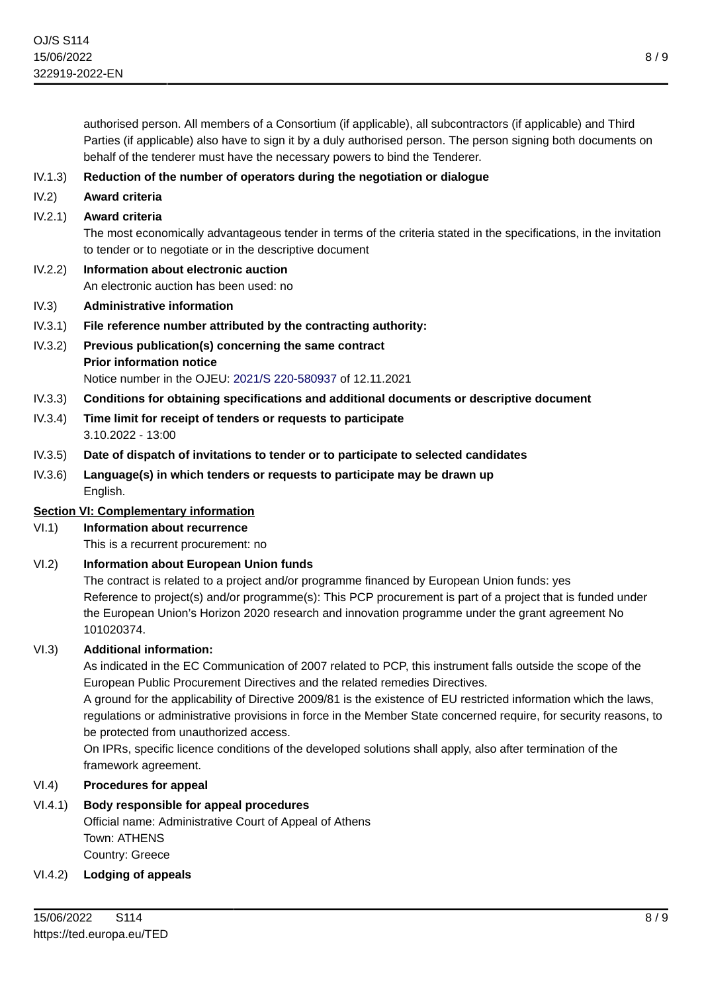authorised person. All members of a Consortium (if applicable), all subcontractors (if applicable) and Third Parties (if applicable) also have to sign it by a duly authorised person. The person signing both documents on behalf of the tenderer must have the necessary powers to bind the Tenderer.

- IV.1.3) **Reduction of the number of operators during the negotiation or dialogue**
- IV.2) **Award criteria**

### IV.2.1) **Award criteria**

The most economically advantageous tender in terms of the criteria stated in the specifications, in the invitation to tender or to negotiate or in the descriptive document

- IV.2.2) **Information about electronic auction** An electronic auction has been used: no
- IV.3) **Administrative information**
- IV.3.1) **File reference number attributed by the contracting authority:**
- IV.3.2) **Previous publication(s) concerning the same contract Prior information notice** Notice number in the OJEU: [2021/S 220-580937](https://ted.europa.eu/udl?uri=TED:NOTICE:580937-2021:TEXT:EN:HTML) of 12.11.2021
- IV.3.3) **Conditions for obtaining specifications and additional documents or descriptive document**
- IV.3.4) **Time limit for receipt of tenders or requests to participate** 3.10.2022 - 13:00
- IV.3.5) **Date of dispatch of invitations to tender or to participate to selected candidates**
- IV.3.6) **Language(s) in which tenders or requests to participate may be drawn up** English.

### **Section VI: Complementary information**

- VI.1) **Information about recurrence** This is a recurrent procurement: no
- VI.2) **Information about European Union funds**

The contract is related to a project and/or programme financed by European Union funds: yes Reference to project(s) and/or programme(s): This PCP procurement is part of a project that is funded under the European Union's Horizon 2020 research and innovation programme under the grant agreement No 101020374.

### VI.3) **Additional information:**

As indicated in the EC Communication of 2007 related to PCP, this instrument falls outside the scope of the European Public Procurement Directives and the related remedies Directives.

A ground for the applicability of Directive 2009/81 is the existence of EU restricted information which the laws, regulations or administrative provisions in force in the Member State concerned require, for security reasons, to be protected from unauthorized access.

On IPRs, specific licence conditions of the developed solutions shall apply, also after termination of the framework agreement.

### VI.4) **Procedures for appeal**

### VI.4.1) **Body responsible for appeal procedures**

Official name: Administrative Court of Appeal of Athens Town: ATHENS Country: Greece

### VI.4.2) **Lodging of appeals**